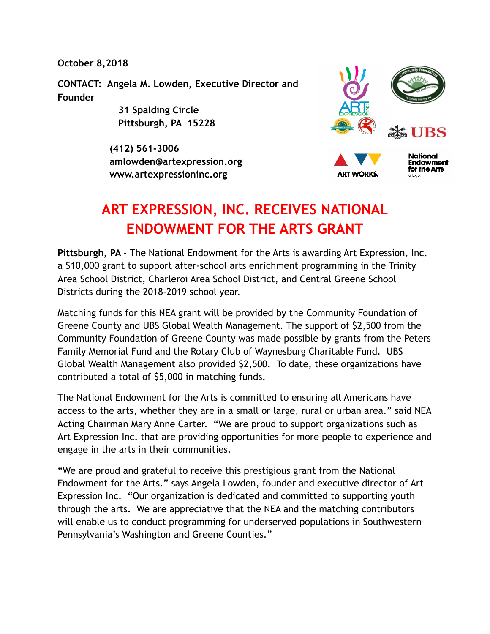**October 8,2018** 

**CONTACT: Angela M. Lowden, Executive Director and Founder** 

> **31 Spalding Circle Pittsburgh, PA 15228**

 **(412) 561-3006 amlowden@artexpression.org www.artexpressioninc.org** 







# **ART EXPRESSION, INC. RECEIVES NATIONAL ENDOWMENT FOR THE ARTS GRANT**

**Pittsburgh, PA** – The National Endowment for the Arts is awarding Art Expression, Inc. a \$10,000 grant to support after-school arts enrichment programming in the Trinity Area School District, Charleroi Area School District, and Central Greene School Districts during the 2018-2019 school year.

Matching funds for this NEA grant will be provided by the Community Foundation of Greene County and UBS Global Wealth Management. The support of \$2,500 from the Community Foundation of Greene County was made possible by grants from the Peters Family Memorial Fund and the Rotary Club of Waynesburg Charitable Fund. UBS Global Wealth Management also provided \$2,500. To date, these organizations have contributed a total of \$5,000 in matching funds.

The National Endowment for the Arts is committed to ensuring all Americans have access to the arts, whether they are in a small or large, rural or urban area." said NEA Acting Chairman Mary Anne Carter. "We are proud to support organizations such as Art Expression Inc. that are providing opportunities for more people to experience and engage in the arts in their communities.

"We are proud and grateful to receive this prestigious grant from the National Endowment for the Arts." says Angela Lowden, founder and executive director of Art Expression Inc. "Our organization is dedicated and committed to supporting youth through the arts. We are appreciative that the NEA and the matching contributors will enable us to conduct programming for underserved populations in Southwestern Pennsylvania's Washington and Greene Counties."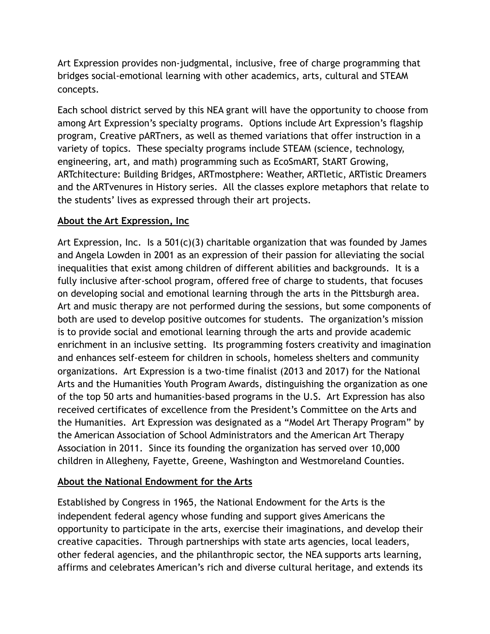Art Expression provides non-judgmental, inclusive, free of charge programming that bridges social-emotional learning with other academics, arts, cultural and STEAM concepts.

Each school district served by this NEA grant will have the opportunity to choose from among Art Expression's specialty programs. Options include Art Expression's flagship program, Creative pARTners, as well as themed variations that offer instruction in a variety of topics. These specialty programs include STEAM (science, technology, engineering, art, and math) programming such as EcoSmART, StART Growing, ARTchitecture: Building Bridges, ARTmostphere: Weather, ARTletic, ARTistic Dreamers and the ARTvenures in History series. All the classes explore metaphors that relate to the students' lives as expressed through their art projects.

## **About the Art Expression, Inc**

Art Expression, Inc. Is a  $501(c)(3)$  charitable organization that was founded by James and Angela Lowden in 2001 as an expression of their passion for alleviating the social inequalities that exist among children of different abilities and backgrounds. It is a fully inclusive after-school program, offered free of charge to students, that focuses on developing social and emotional learning through the arts in the Pittsburgh area. Art and music therapy are not performed during the sessions, but some components of both are used to develop positive outcomes for students. The organization's mission is to provide social and emotional learning through the arts and provide academic enrichment in an inclusive setting. Its programming fosters creativity and imagination and enhances self-esteem for children in schools, homeless shelters and community organizations. Art Expression is a two-time finalist (2013 and 2017) for the National Arts and the Humanities Youth Program Awards, distinguishing the organization as one of the top 50 arts and humanities-based programs in the U.S. Art Expression has also received certificates of excellence from the President's Committee on the Arts and the Humanities. Art Expression was designated as a "Model Art Therapy Program" by the American Association of School Administrators and the American Art Therapy Association in 2011. Since its founding the organization has served over 10,000 children in Allegheny, Fayette, Greene, Washington and Westmoreland Counties.

## **About the National Endowment for the Arts**

Established by Congress in 1965, the National Endowment for the Arts is the independent federal agency whose funding and support gives Americans the opportunity to participate in the arts, exercise their imaginations, and develop their creative capacities. Through partnerships with state arts agencies, local leaders, other federal agencies, and the philanthropic sector, the NEA supports arts learning, affirms and celebrates American's rich and diverse cultural heritage, and extends its